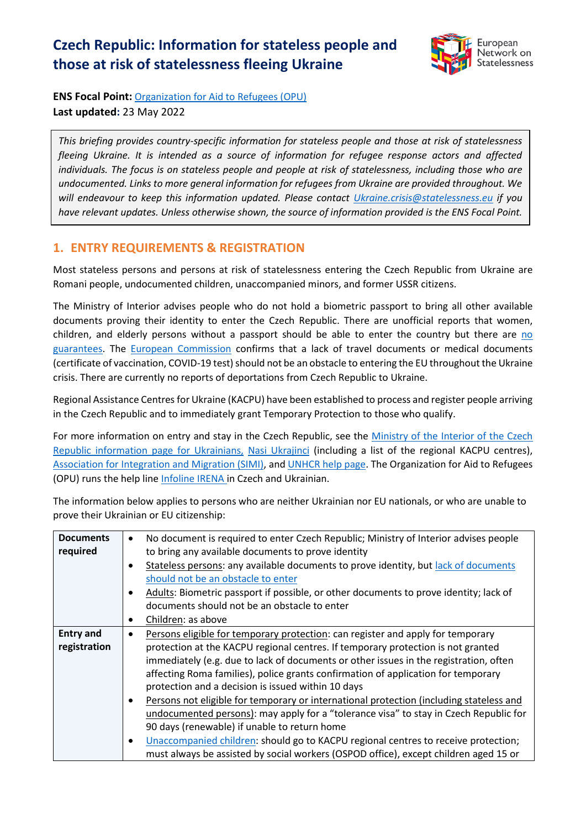# **Czech Republic: Information for stateless people and those at risk of statelessness fleeing Ukraine**



**ENS Focal Point:** [Organization for Aid to Refugees \(OPU\)](https://www.opu.cz/en/) **Last updated:** 23 May 2022

*This briefing provides country-specific information for stateless people and those at risk of statelessness fleeing Ukraine. It is intended as a source of information for refugee response actors and affected individuals. The focus is on stateless people and people at risk of statelessness, including those who are undocumented. Links to more general information for refugees from Ukraine are provided throughout. We will endeavour to keep this information updated. Please contact [Ukraine.crisis@statelessness.eu](mailto:Ukraine.crisis@statelessness.eu) if you have relevant updates. Unless otherwise shown, the source of information provided is the ENS Focal Point.*

### **1. ENTRY REQUIREMENTS & REGISTRATION**

Most stateless persons and persons at risk of statelessness entering the Czech Republic from Ukraine are Romani people, undocumented children, unaccompanied minors, and former USSR citizens.

The Ministry of Interior advises people who do not hold a biometric passport to bring all other available documents proving their identity to enter the Czech Republic. There are unofficial reports that women, children, and elderly persons without a passport should be able to enter the country but there are no [guarantees.](https://www.mvcr.cz/docDetail.aspx?docid=22368652&doctype=ART&#Informace_pro_obcany_Ukrajiny_-_otazky_a_odpovedi) The [European Commission](https://ec.europa.eu/info/sites/default/files/information_for_people_fleeing_russias_invasion_of_ukraine_en.pdf) confirms that a lack of travel documents or medical documents (certificate of vaccination, COVID-19 test) should not be an obstacle to entering the EU throughout the Ukraine crisis. There are currently no reports of deportations from Czech Republic to Ukraine.

Regional Assistance Centres for Ukraine (KACPU) have been established to process and register people arriving in the Czech Republic and to immediately grant Temporary Protection to those who qualify.

For more information on entry and stay in the Czech Republic, see the [Ministry of the Interior of the Czech](https://www.mvcr.cz/clanek/informace-pro-obcany-ukrajiny.aspx?q=Y2hudW09MQ%3d%3d)  [Republic information page for Ukrainians,](https://www.mvcr.cz/clanek/informace-pro-obcany-ukrajiny.aspx?q=Y2hudW09MQ%3d%3d) [Nasi Ukrajinci](https://www.nasiukrajinci.cz/ua/) (including a list of the regional KACPU centres), [Association for Integration and Migration \(SIMI\),](https://www.migrace.com/cs/clanky/1321_aktualni-informace) an[d UNHCR help page.](https://help.unhcr.org/czech/) The Organization for Aid to Refugees (OPU) runs the help lin[e Infoline IRENA](https://www.opu.cz/cs/) in Czech and Ukrainian.

The information below applies to persons who are neither Ukrainian nor EU nationals, or who are unable to prove their Ukrainian or EU citizenship:

| <b>Documents</b> | No document is required to enter Czech Republic; Ministry of Interior advises people<br>$\bullet$ |
|------------------|---------------------------------------------------------------------------------------------------|
| required         | to bring any available documents to prove identity                                                |
|                  | Stateless persons: any available documents to prove identity, but lack of documents<br>$\bullet$  |
|                  | should not be an obstacle to enter                                                                |
|                  | Adults: Biometric passport if possible, or other documents to prove identity; lack of<br>٠        |
|                  | documents should not be an obstacle to enter                                                      |
|                  | Children: as above<br>٠                                                                           |
| <b>Entry and</b> | Persons eligible for temporary protection: can register and apply for temporary                   |
| registration     | protection at the KACPU regional centres. If temporary protection is not granted                  |
|                  | immediately (e.g. due to lack of documents or other issues in the registration, often             |
|                  | affecting Roma families), police grants confirmation of application for temporary                 |
|                  | protection and a decision is issued within 10 days                                                |
|                  | Persons not eligible for temporary or international protection (including stateless and<br>٠      |
|                  | undocumented persons): may apply for a "tolerance visa" to stay in Czech Republic for             |
|                  | 90 days (renewable) if unable to return home                                                      |
|                  | Unaccompanied children: should go to KACPU regional centres to receive protection;<br>$\bullet$   |
|                  | must always be assisted by social workers (OSPOD office), except children aged 15 or              |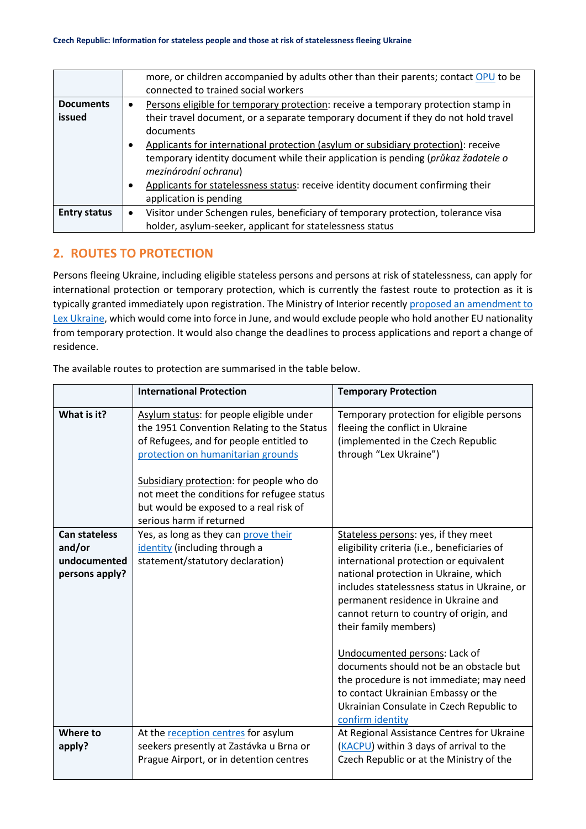|                     | more, or children accompanied by adults other than their parents; contact OPU to be<br>connected to trained social workers |
|---------------------|----------------------------------------------------------------------------------------------------------------------------|
| <b>Documents</b>    | Persons eligible for temporary protection: receive a temporary protection stamp in<br>$\bullet$                            |
| issued              | their travel document, or a separate temporary document if they do not hold travel                                         |
|                     | documents                                                                                                                  |
|                     | Applicants for international protection (asylum or subsidiary protection): receive                                         |
|                     | temporary identity document while their application is pending (průkaz žadatele o                                          |
|                     | mezinárodní ochranu)                                                                                                       |
|                     | Applicants for statelessness status: receive identity document confirming their<br>$\bullet$                               |
|                     | application is pending                                                                                                     |
| <b>Entry status</b> | Visitor under Schengen rules, beneficiary of temporary protection, tolerance visa<br>$\bullet$                             |
|                     | holder, asylum-seeker, applicant for statelessness status                                                                  |

### **2. ROUTES TO PROTECTION**

Persons fleeing Ukraine, including eligible stateless persons and persons at risk of statelessness, can apply for international protection or temporary protection, which is currently the fastest route to protection as it is typically granted immediately upon registration. The Ministry of Interior recently proposed an amendment to [Lex Ukraine,](http://www.romea.cz/en/news/czech/czech-government-proposes-stricter-rules-for-temporary-protection-for-refugees-from-ukraine) which would come into force in June, and would exclude people who hold another EU nationality from temporary protection. It would also change the deadlines to process applications and report a change of residence.

The available routes to protection are summarised in the table below.

|                                                                  | <b>International Protection</b>                                                                                                                                                                                                                                                                                                         | <b>Temporary Protection</b>                                                                                                                                                                                                                                                                                                       |
|------------------------------------------------------------------|-----------------------------------------------------------------------------------------------------------------------------------------------------------------------------------------------------------------------------------------------------------------------------------------------------------------------------------------|-----------------------------------------------------------------------------------------------------------------------------------------------------------------------------------------------------------------------------------------------------------------------------------------------------------------------------------|
| What is it?                                                      | Asylum status: for people eligible under<br>the 1951 Convention Relating to the Status<br>of Refugees, and for people entitled to<br>protection on humanitarian grounds<br>Subsidiary protection: for people who do<br>not meet the conditions for refugee status<br>but would be exposed to a real risk of<br>serious harm if returned | Temporary protection for eligible persons<br>fleeing the conflict in Ukraine<br>(implemented in the Czech Republic<br>through "Lex Ukraine")                                                                                                                                                                                      |
| <b>Can stateless</b><br>and/or<br>undocumented<br>persons apply? | Yes, as long as they can prove their<br>identity (including through a<br>statement/statutory declaration)                                                                                                                                                                                                                               | Stateless persons: yes, if they meet<br>eligibility criteria (i.e., beneficiaries of<br>international protection or equivalent<br>national protection in Ukraine, which<br>includes statelessness status in Ukraine, or<br>permanent residence in Ukraine and<br>cannot return to country of origin, and<br>their family members) |
|                                                                  |                                                                                                                                                                                                                                                                                                                                         | Undocumented persons: Lack of<br>documents should not be an obstacle but<br>the procedure is not immediate; may need<br>to contact Ukrainian Embassy or the<br>Ukrainian Consulate in Czech Republic to<br>confirm identity                                                                                                       |
| Where to<br>apply?                                               | At the reception centres for asylum<br>seekers presently at Zastávka u Brna or<br>Prague Airport, or in detention centres                                                                                                                                                                                                               | At Regional Assistance Centres for Ukraine<br>(KACPU) within 3 days of arrival to the<br>Czech Republic or at the Ministry of the                                                                                                                                                                                                 |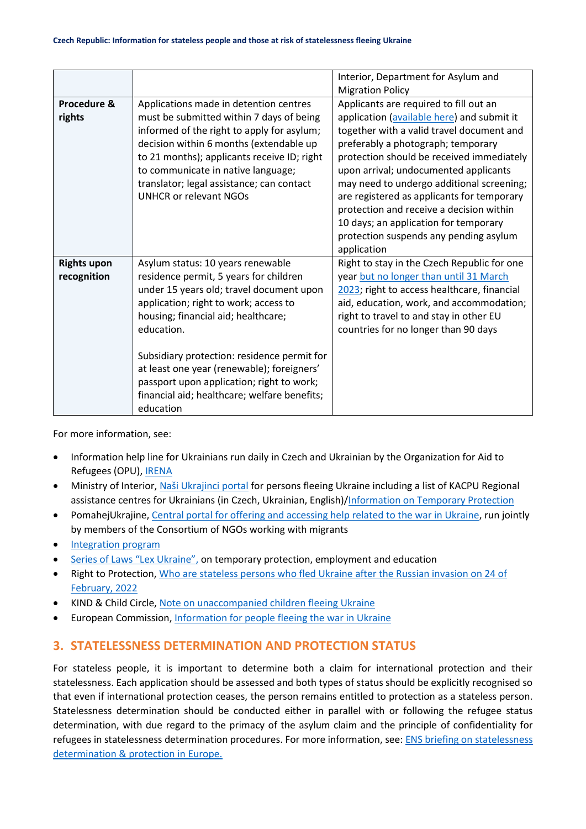|                                   |                                                                                                                                                                                                                                                                                                                                                                                                                              | Interior, Department for Asylum and                                                                                                                                                                                                                                                                                                                                                                                                                                                                    |
|-----------------------------------|------------------------------------------------------------------------------------------------------------------------------------------------------------------------------------------------------------------------------------------------------------------------------------------------------------------------------------------------------------------------------------------------------------------------------|--------------------------------------------------------------------------------------------------------------------------------------------------------------------------------------------------------------------------------------------------------------------------------------------------------------------------------------------------------------------------------------------------------------------------------------------------------------------------------------------------------|
|                                   |                                                                                                                                                                                                                                                                                                                                                                                                                              | <b>Migration Policy</b>                                                                                                                                                                                                                                                                                                                                                                                                                                                                                |
| Procedure &<br>rights             | Applications made in detention centres<br>must be submitted within 7 days of being<br>informed of the right to apply for asylum;<br>decision within 6 months (extendable up<br>to 21 months); applicants receive ID; right<br>to communicate in native language;<br>translator; legal assistance; can contact<br><b>UNHCR or relevant NGOs</b>                                                                               | Applicants are required to fill out an<br>application (available here) and submit it<br>together with a valid travel document and<br>preferably a photograph; temporary<br>protection should be received immediately<br>upon arrival; undocumented applicants<br>may need to undergo additional screening;<br>are registered as applicants for temporary<br>protection and receive a decision within<br>10 days; an application for temporary<br>protection suspends any pending asylum<br>application |
| <b>Rights upon</b><br>recognition | Asylum status: 10 years renewable<br>residence permit, 5 years for children<br>under 15 years old; travel document upon<br>application; right to work; access to<br>housing; financial aid; healthcare;<br>education.<br>Subsidiary protection: residence permit for<br>at least one year (renewable); foreigners'<br>passport upon application; right to work;<br>financial aid; healthcare; welfare benefits;<br>education | Right to stay in the Czech Republic for one<br>year but no longer than until 31 March<br>2023; right to access healthcare, financial<br>aid, education, work, and accommodation;<br>right to travel to and stay in other EU<br>countries for no longer than 90 days                                                                                                                                                                                                                                    |

For more information, see:

- Information help line for Ukrainians run daily in Czech and Ukrainian by the Organization for Aid to Refugees (OPU)[, IRENA](https://www.opu.cz/cs/)
- Ministry of Interior, [Naši Ukrajinci portal](https://www.nasiukrajinci.cz/) for persons fleeing Ukraine including a list of KACPU Regional assistance centres for Ukrainians (in Czech, Ukrainian, English)[/Information on Temporary Protection](https://www.mvcr.cz/docDetail.aspx?docid=22368652&doctype=ART&#Informace_pro_obcany_Ukrajiny_-_aktuality)
- PomahejUkrajine, [Central portal for offering and accessing help related to the war in Ukraine,](https://www.pomahejukrajine.cz/) run jointly by members of the Consortium of NGOs working with migrants
- [Integration program](https://www.integracniprogram.cz/)
- [Series of Laws "Lex Ukraine"](https://www.zakonyprolidi.cz/cs/2022-65), on temporary protection, employment and education
- Right to Protection, [Who are stateless persons who fled Ukraine after the Russian invasion on 24 of](https://r2p.org.ua/stateless-persons-fled-ukraine-after-2022/?lang=en)  [February, 2022](https://r2p.org.ua/stateless-persons-fled-ukraine-after-2022/?lang=en)
- KIND & Child Circle, [Note on unaccompanied children fleeing Ukraine](https://supportkind.org/wp-content/uploads/2022/03/Note-on-Unaccompanied-Children-Fleeing-from-Ukraine_Updated.pdf)
- European Commission, [Information for people fleeing the war in Ukraine](https://ec.europa.eu/info/strategy/priorities-2019-2024/stronger-europe-world/eu-solidarity-ukraine/eu-assistance-ukraine/information-people-fleeing-war-ukraine_en)

## **3. STATELESSNESS DETERMINATION AND PROTECTION STATUS**

For stateless people, it is important to determine both a claim for international protection and their statelessness. Each application should be assessed and both types of status should be explicitly recognised so that even if international protection ceases, the person remains entitled to protection as a stateless person. Statelessness determination should be conducted either in parallel with or following the refugee status determination, with due regard to the primacy of the asylum claim and the principle of confidentiality for refugees in statelessness determination procedures. For more information, see: [ENS briefing on statelessness](https://index.statelessness.eu/sites/default/files/ENS-Statelessness_determination_and_protection_in_Europe-Sep_2021.pdf)  [determination & protection in Europe.](https://index.statelessness.eu/sites/default/files/ENS-Statelessness_determination_and_protection_in_Europe-Sep_2021.pdf)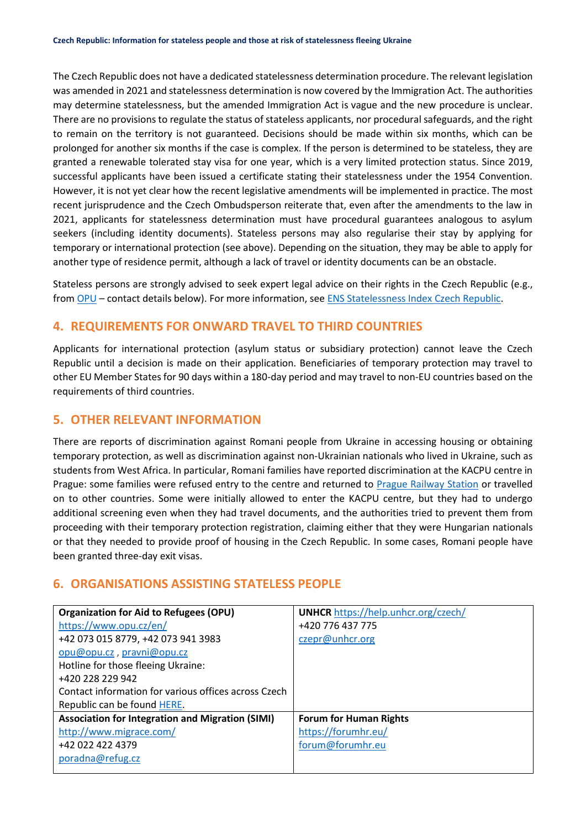The Czech Republic does not have a dedicated statelessness determination procedure. The relevant legislation was amended in 2021 and statelessness determination is now covered by the Immigration Act. The authorities may determine statelessness, but the amended Immigration Act is vague and the new procedure is unclear. There are no provisions to regulate the status of stateless applicants, nor procedural safeguards, and the right to remain on the territory is not guaranteed. Decisions should be made within six months, which can be prolonged for another six months if the case is complex. If the person is determined to be stateless, they are granted a renewable tolerated stay visa for one year, which is a very limited protection status. Since 2019, successful applicants have been issued a certificate stating their statelessness under the 1954 Convention. However, it is not yet clear how the recent legislative amendments will be implemented in practice. The most recent jurisprudence and the Czech Ombudsperson reiterate that, even after the amendments to the law in 2021, applicants for statelessness determination must have procedural guarantees analogous to asylum seekers (including identity documents). Stateless persons may also regularise their stay by applying for temporary or international protection (see above). Depending on the situation, they may be able to apply for another type of residence permit, although a lack of travel or identity documents can be an obstacle.

Stateless persons are strongly advised to seek expert legal advice on their rights in the Czech Republic (e.g., from [OPU](https://www.opu.cz/en/) – contact details below). For more information, se[e ENS Statelessness Index Czech Republic.](https://index.statelessness.eu/country/czech-republic)

#### **4. REQUIREMENTS FOR ONWARD TRAVEL TO THIRD COUNTRIES**

Applicants for international protection (asylum status or subsidiary protection) cannot leave the Czech Republic until a decision is made on their application. Beneficiaries of temporary protection may travel to other EU Member States for 90 days within a 180-day period and may travel to non-EU countries based on the requirements of third countries.

#### **5. OTHER RELEVANT INFORMATION**

There are reports of discrimination against Romani people from Ukraine in accessing housing or obtaining temporary protection, as well as discrimination against non-Ukrainian nationals who lived in Ukraine, such as students from West Africa. In particular, Romani families have reported discrimination at the KACPU centre in Prague: some families were refused entry to the centre and returned to [Prague Railway Station](https://www.theguardian.com/global-development/2022/may/25/they-wont-accept-us-roma-refugees-forced-to-camp-at-prague-train-station) or travelled on to other countries. Some were initially allowed to enter the KACPU centre, but they had to undergo additional screening even when they had travel documents, and the authorities tried to prevent them from proceeding with their temporary protection registration, claiming either that they were Hungarian nationals or that they needed to provide proof of housing in the Czech Republic. In some cases, Romani people have been granted three-day exit visas.

#### **6. ORGANISATIONS ASSISTING STATELESS PEOPLE**

| <b>Organization for Aid to Refugees (OPU)</b>           | <b>UNHCR</b> https://help.unhcr.org/czech/ |
|---------------------------------------------------------|--------------------------------------------|
| https://www.opu.cz/en/                                  | +420 776 437 775                           |
| +42 073 015 8779, +42 073 941 3983                      | czepr@unhcr.org                            |
| opu@opu.cz, pravni@opu.cz                               |                                            |
| Hotline for those fleeing Ukraine:                      |                                            |
| +420 228 229 942                                        |                                            |
| Contact information for various offices across Czech    |                                            |
| Republic can be found HERE.                             |                                            |
| <b>Association for Integration and Migration (SIMI)</b> | <b>Forum for Human Rights</b>              |
| http://www.migrace.com/                                 | https://forumhr.eu/                        |
| +42 022 422 4379                                        | forum@forumhr.eu                           |
| poradna@refug.cz                                        |                                            |
|                                                         |                                            |